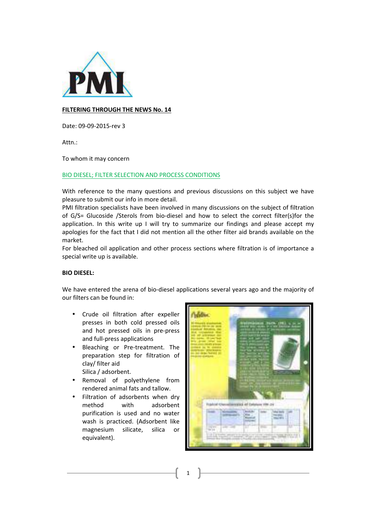

# **FILTERING THROUGH THE NEWS No. 14**

Date: 09-09-2015-rev 3

Attn.: 

To whom it may concern

## BIO DIESEL; FILTER SELECTION AND PROCESS CONDITIONS

With reference to the many questions and previous discussions on this subject we have pleasure to submit our info in more detail.

PMI filtration specialists have been involved in many discussions on the subject of filtration of G/S= Glucoside /Sterols from bio-diesel and how to select the correct filter(s)for the application. In this write up I will try to summarize our findings and please accept my apologies for the fact that I did not mention all the other filter aid brands available on the market.

For bleached oil application and other process sections where filtration is of importance a special write up is available.

## **BIO DIESEL:**

We have entered the arena of bio-diesel applications several years ago and the majority of our filters can be found in:

- Crude oil filtration after expeller presses in both cold pressed oils and hot pressed oils in pre-press and full-press applications
- Bleaching or Pre-treatment. The preparation step for filtration of clay/ filter aid Silica / adsorbent.
- Removal of polyethylene from rendered animal fats and tallow.
- Filtration of adsorbents when dry method with adsorbent purification is used and no water wash is practiced. (Adsorbent like magnesium silicate, silica or equivalent).

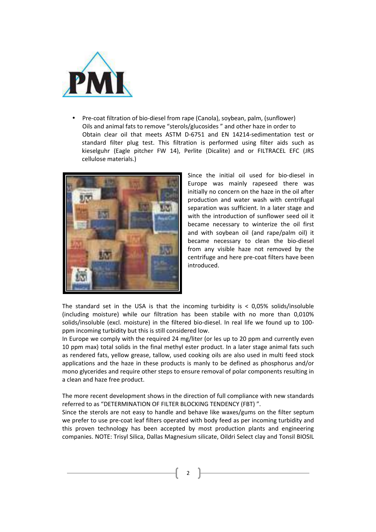

Pre-coat filtration of bio-diesel from rape (Canola), soybean, palm, (sunflower) Oils and animal fats to remove "sterols/glucosides" and other haze in order to Obtain clear oil that meets ASTM D-6751 and EN 14214-sedimentation test or standard filter plug test. This filtration is performed using filter aids such as kieselguhr (Eagle pitcher FW 14), Perlite (Dicalite) and or FILTRACEL EFC (JRS cellulose materials.)



Since the initial oil used for bio-diesel in Europe was mainly rapeseed there was initially no concern on the haze in the oil after production and water wash with centrifugal separation was sufficient. In a later stage and with the introduction of sunflower seed oil it became necessary to winterize the oil first and with soybean oil (and rape/palm oil) it became necessary to clean the bio-diesel from any visible haze not removed by the centrifuge and here pre-coat filters have been introduced. 

The standard set in the USA is that the incoming turbidity is  $<$  0,05% solids/insoluble (including moisture) while our filtration has been stabile with no more than 0,010% solids/insoluble (excl. moisture) in the filtered bio-diesel. In real life we found up to 100ppm incoming turbidity but this is still considered low.

In Europe we comply with the required 24 mg/liter (or les up to 20 ppm and currently even 10 ppm max) total solids in the final methyl ester product. In a later stage animal fats such as rendered fats, yellow grease, tallow, used cooking oils are also used in multi feed stock applications and the haze in these products is manly to be defined as phosphorus and/or mono glycerides and require other steps to ensure removal of polar components resulting in a clean and haze free product.

The more recent development shows in the direction of full compliance with new standards referred to as "DETERMINATION OF FILTER BLOCKING TENDENCY (FBT)".

Since the sterols are not easy to handle and behave like waxes/gums on the filter septum we prefer to use pre-coat leaf filters operated with body feed as per incoming turbidity and this proven technology has been accepted by most production plants and engineering companies. NOTE: Trisyl Silica, Dallas Magnesium silicate, Oildri Select clay and Tonsil BIOSIL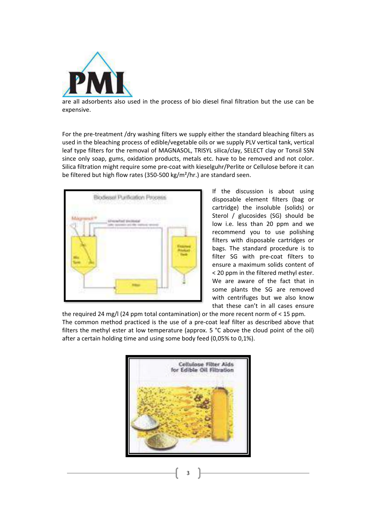

are all adsorbents also used in the process of bio diesel final filtration but the use can be expensive.

For the pre-treatment /dry washing filters we supply either the standard bleaching filters as used in the bleaching process of edible/vegetable oils or we supply PLV vertical tank, vertical leaf type filters for the removal of MAGNASOL, TRISYL silica/clay, SELECT clay or Tonsil SSN since only soap, gums, oxidation products, metals etc. have to be removed and not color. Silica filtration might require some pre-coat with kieselguhr/Perlite or Cellulose before it can be filtered but high flow rates  $(350-500 \text{ kg/m}^2/\text{hr.})$  are standard seen.



If the discussion is about using disposable element filters (bag or cartridge) the insoluble (solids) or Sterol / glucosides (SG) should be low i.e. less than 20 ppm and we recommend you to use polishing filters with disposable cartridges or bags. The standard procedure is to filter SG with pre-coat filters to ensure a maximum solids content of < 20 ppm in the filtered methyl ester. We are aware of the fact that in some plants the SG are removed with centrifuges but we also know that these can't in all cases ensure

the required 24 mg/l (24 ppm total contamination) or the more recent norm of  $\lt 15$  ppm. The common method practiced is the use of a pre-coat leaf filter as described above that filters the methyl ester at low temperature (approx.  $5 °C$  above the cloud point of the oil) after a certain holding time and using some body feed (0,05% to 0,1%).

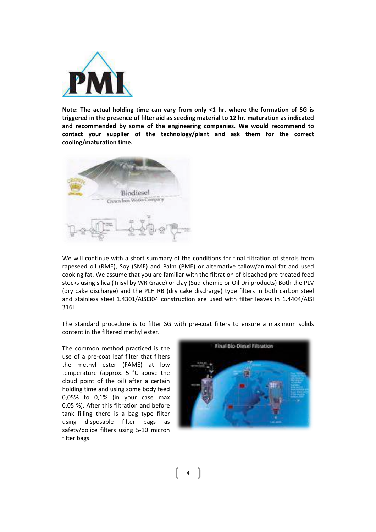

**Note:** The actual holding time can vary from only <1 hr. where the formation of SG is triggered in the presence of filter aid as seeding material to 12 hr. maturation as indicated and recommended by some of the engineering companies. We would recommend to contact your supplier of the technology/plant and ask them for the correct **cooling/maturation time.**



We will continue with a short summary of the conditions for final filtration of sterols from rapeseed oil (RME), Soy (SME) and Palm (PME) or alternative tallow/animal fat and used cooking fat. We assume that you are familiar with the filtration of bleached pre-treated feed stocks using silica (Trisyl by WR Grace) or clay (Sud-chemie or Oil Dri products) Both the PLV (dry cake discharge) and the PLH RB (dry cake discharge) type filters in both carbon steel and stainless steel 1.4301/AISI304 construction are used with filter leaves in 1.4404/AISI 316L.

The standard procedure is to filter SG with pre-coat filters to ensure a maximum solids content in the filtered methyl ester.

The common method practiced is the use of a pre-coat leaf filter that filters the methyl ester (FAME) at low temperature (approx.  $5 °C$  above the cloud point of the oil) after a certain holding time and using some body feed  $0.05\%$  to  $0.1\%$  (in your case max 0,05 %). After this filtration and before tank filling there is a bag type filter using disposable filter bags as safety/police filters using 5-10 micron filter bags.

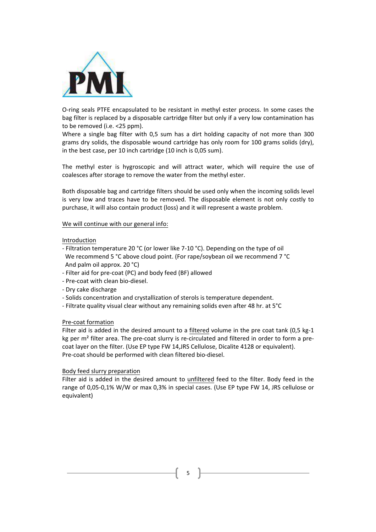

O-ring seals PTFE encapsulated to be resistant in methyl ester process. In some cases the bag filter is replaced by a disposable cartridge filter but only if a very low contamination has to be removed (i.e.  $< 25$  ppm).

Where a single bag filter with 0,5 sum has a dirt holding capacity of not more than 300 grams dry solids, the disposable wound cartridge has only room for 100 grams solids  $\langle$  dry), in the best case, per 10 inch cartridge (10 inch is 0.05 sum).

The methyl ester is hygroscopic and will attract water, which will require the use of coalesces after storage to remove the water from the methyl ester.

Both disposable bag and cartridge filters should be used only when the incoming solids level is very low and traces have to be removed. The disposable element is not only costly to purchase, it will also contain product (loss) and it will represent a waste problem.

#### We will continue with our general info:

#### Introduction

- Filtration temperature 20 °C (or lower like  $7-10$  °C). Depending on the type of oil We recommend 5 °C above cloud point. (For rape/soybean oil we recommend 7 °C And palm oil approx. 20 $°C$ )
- Filter aid for pre-coat (PC) and body feed (BF) allowed
- Pre-coat with clean bio-diesel.
- Dry cake discharge
- Solids concentration and crystallization of sterols is temperature dependent.
- Filtrate quality visual clear without any remaining solids even after 48 hr. at 5°C

#### Pre-coat formation

Filter aid is added in the desired amount to a filtered volume in the pre coat tank  $(0,5 \text{ kg-1})$ kg per  $m<sup>2</sup>$  filter area. The pre-coat slurry is re-circulated and filtered in order to form a precoat layer on the filter. (Use EP type FW 14,JRS Cellulose, Dicalite 4128 or equivalent). Pre-coat should be performed with clean filtered bio-diesel.

#### Body feed slurry preparation

Filter aid is added in the desired amount to unfiltered feed to the filter. Body feed in the range of 0,05-0,1% W/W or max 0,3% in special cases. (Use EP type FW 14, JRS cellulose or equivalent)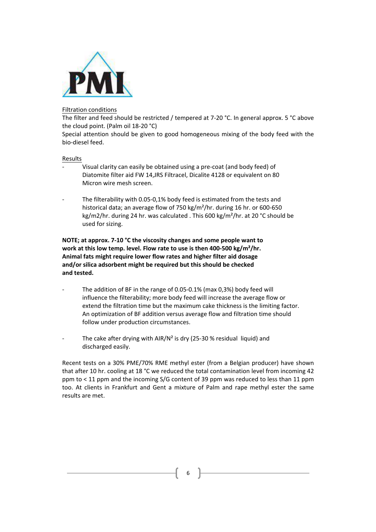

## Filtration conditions

The filter and feed should be restricted / tempered at 7-20 °C. In general approx. 5 °C above the cloud point. (Palm oil 18-20 °C)

Special attention should be given to good homogeneous mixing of the body feed with the bio-diesel feed.

#### Results

- Visual clarity can easily be obtained using a pre-coat (and body feed) of Diatomite filter aid FW 14, JRS Filtracel, Dicalite 4128 or equivalent on 80 Micron wire mesh screen.
- The filterability with 0.05-0,1% body feed is estimated from the tests and historical data; an average flow of 750 kg/m<sup>2</sup>/hr. during 16 hr. or 600-650 kg/m2/hr. during 24 hr. was calculated . This  $600 \text{ kg/m}^2$ /hr. at 20 °C should be used for sizing.

**NOTE; at approx. 7-10 °C the viscosity changes and some people want to** work at this low temp. level. Flow rate to use is then 400-500 kg/m<sup>2</sup>/hr. Animal fats might require lower flow rates and higher filter aid dosage and/or silica adsorbent might be required but this should be checked **and tested.**

- The addition of BF in the range of 0.05-0.1% (max  $0.3%$ ) body feed will influence the filterability; more body feed will increase the average flow or extend the filtration time but the maximum cake thickness is the limiting factor. An optimization of BF addition versus average flow and filtration time should follow under production circumstances.
- The cake after drying with AIR/N<sup>2</sup> is dry (25-30 % residual liquid) and discharged easily.

Recent tests on a 30% PME/70% RME methyl ester (from a Belgian producer) have shown that after 10 hr. cooling at 18 °C we reduced the total contamination level from incoming 42 ppm to  $\lt 11$  ppm and the incoming S/G content of 39 ppm was reduced to less than 11 ppm too. At clients in Frankfurt and Gent a mixture of Palm and rape methyl ester the same results are met.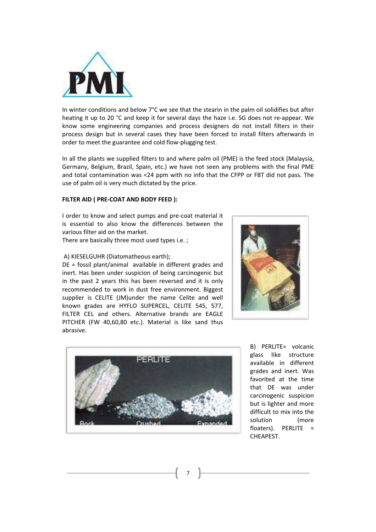

In winter conditions and below  $7^{\circ}$ C we see that the stearin in the palm oil solidifies but after heating it up to 20 °C and keep it for several days the haze i.e. SG does not re-appear. We know some engineering companies and process designers do not install filters in their process design but in several cases they have been forced to install filters afterwards in order to meet the guarantee and cold flow-plugging test.

In all the plants we supplied filters to and where palm oil (PME) is the feed stock (Malaysia, Germany, Belgium, Brazil, Spain, etc.) we have not seen any problems with the final PME and total contamination was <24 ppm with no info that the CFPP or FBT did not pass. The use of palm oil is very much dictated by the price.

#### **FILTER AID ( PRE-COAT AND BODY FEED ):**

I order to know and select pumps and pre-coat material it is essential to also know the differences between the various filter aid on the market.

There are basically three most used types i.e. ;

#### A) KIESELGUHR (Diatomatheous earth);

 $DE =$  fossil plant/animal available in different grades and inert. Has been under suspicion of being carcinogenic but in the past 2 years this has been reversed and it is only recommended to work in dust free environment. Biggest supplier is CELITE (JM)under the name Celite and well known grades are HYFLO SUPERCEL, CELITE 545, 577, FILTER CEL and others. Alternative brands are EAGLE PITCHER (FW 40,60,80 etc.). Material is like sand thus abrasive.





B) PERLITE= volcanic glass like structure available in different grades and inert. Was favorited at the time that DE was under carcinogenic suspicion but is lighter and more difficult to mix into the solution (more floaters). PERLITE  $=$ CHEAPEST.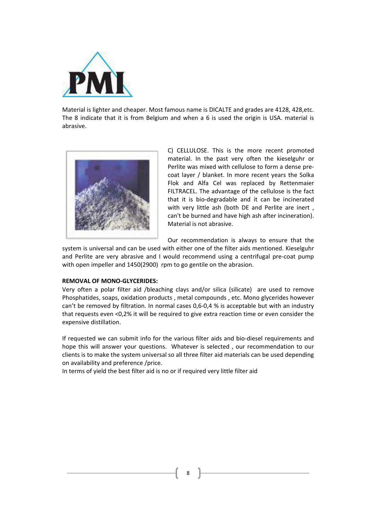

Material is lighter and cheaper. Most famous name is DICALTE and grades are 4128, 428,etc. The  $8$  indicate that it is from Belgium and when a  $6$  is used the origin is USA. material is abrasive.



C) CELLULOSE. This is the more recent promoted material. In the past very often the kieselguhr or Perlite was mixed with cellulose to form a dense precoat layer / blanket. In more recent years the Solka Flok and Alfa Cel was replaced by Rettenmaier FILTRACEL. The advantage of the cellulose is the fact that it is bio-degradable and it can be incinerated with very little ash (both DE and Perlite are inert, can't be burned and have high ash after incineration). Material is not abrasive.

Our recommendation is always to ensure that the

system is universal and can be used with either one of the filter aids mentioned. Kieselguhr and Perlite are very abrasive and I would recommend using a centrifugal pre-coat pump with open impeller and 1450(2900) rpm to go gentile on the abrasion.

#### **REMOVAL OF MONO-GLYCERIDES:**

Very often a polar filter aid /bleaching clays and/or silica (silicate) are used to remove Phosphatides, soaps, oxidation products, metal compounds, etc. Mono glycerides however can't be removed by filtration. In normal cases  $0.6$ -0.4 % is acceptable but with an industry that requests even <0,2% it will be required to give extra reaction time or even consider the expensive distillation.

If requested we can submit info for the various filter aids and bio-diesel requirements and hope this will answer your questions. Whatever is selected , our recommendation to our clients is to make the system universal so all three filter aid materials can be used depending on availability and preference /price.

In terms of yield the best filter aid is no or if required very little filter aid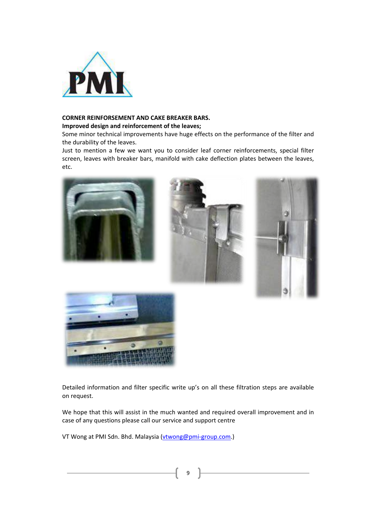

## **CORNER REINFORSEMENT AND CAKE BREAKER BARS.**

#### **Improved design and reinforcement of the leaves;**

Some minor technical improvements have huge effects on the performance of the filter and the durability of the leaves.

Just to mention a few we want you to consider leaf corner reinforcements, special filter screen, leaves with breaker bars, manifold with cake deflection plates between the leaves, etc. 





Detailed information and filter specific write up's on all these filtration steps are available on request.

We hope that this will assist in the much wanted and required overall improvement and in case of any questions please call our service and support centre

VT Wong at PMI Sdn. Bhd. Malaysia (vtwong@pmi-group.com.)